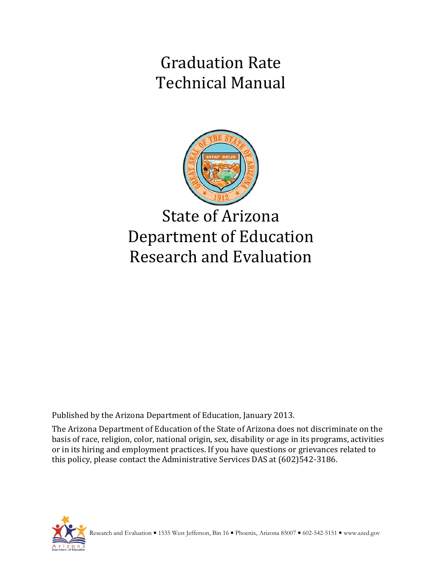Graduation Rate Technical Manual



State of Arizona Department of Education Research and Evaluation

Published by the Arizona Department of Education, January 2013.

The Arizona Department of Education of the State of Arizona does not discriminate on the basis of race, religion, color, national origin, sex, disability or age in its programs, activities or in its hiring and employment practices. If you have questions or grievances related to this policy, please contact the Administrative Services DAS at (602)542-3186.

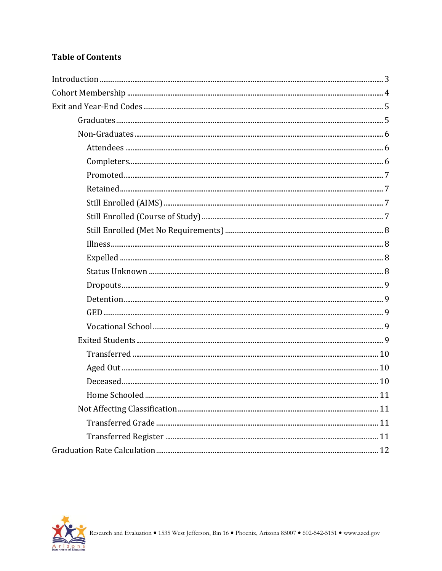## **Table of Contents**

| 11 |
|----|
|    |
|    |
|    |
|    |

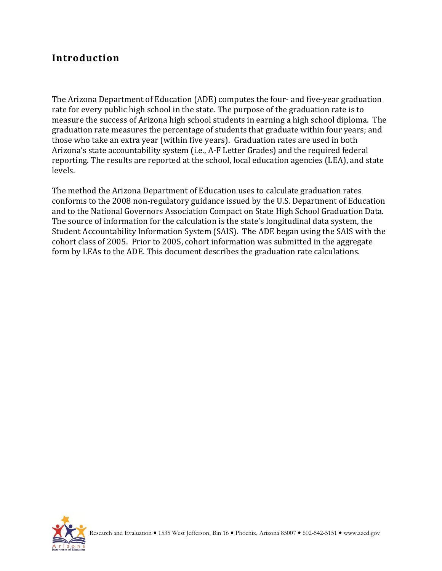## **Introduction**

The Arizona Department of Education (ADE) computes the four- and five-year graduation rate for every public high school in the state. The purpose of the graduation rate is to measure the success of Arizona high school students in earning a high school diploma. The graduation rate measures the percentage of students that graduate within four years; and those who take an extra year (within five years). Graduation rates are used in both Arizona's state accountability system (i.e., A-F Letter Grades) and the required federal reporting. The results are reported at the school, local education agencies (LEA), and state levels.

The method the Arizona Department of Education uses to calculate graduation rates conforms to the 2008 non-regulatory guidance issued by the U.S. Department of Education and to the National Governors Association Compact on State High School Graduation Data. The source of information for the calculation is the state's longitudinal data system, the Student Accountability Information System (SAIS). The ADE began using the SAIS with the cohort class of 2005. Prior to 2005, cohort information was submitted in the aggregate form by LEAs to the ADE. This document describes the graduation rate calculations.

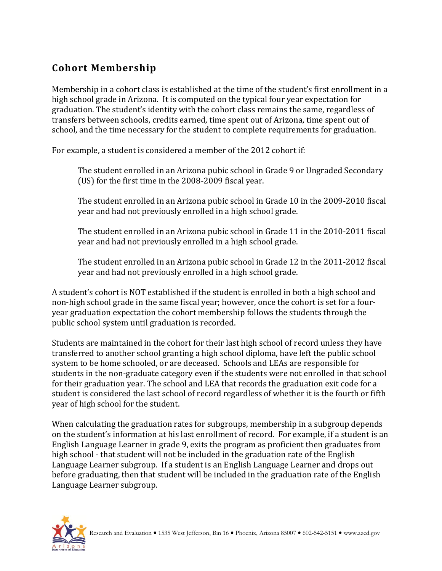# **Cohort Membership**

Membership in a cohort class is established at the time of the student's first enrollment in a high school grade in Arizona. It is computed on the typical four year expectation for graduation. The student's identity with the cohort class remains the same, regardless of transfers between schools, credits earned, time spent out of Arizona, time spent out of school, and the time necessary for the student to complete requirements for graduation.

For example, a student is considered a member of the 2012 cohort if:

The student enrolled in an Arizona pubic school in Grade 9 or Ungraded Secondary (US) for the first time in the 2008-2009 fiscal year.

The student enrolled in an Arizona pubic school in Grade 10 in the 2009-2010 fiscal year and had not previously enrolled in a high school grade.

The student enrolled in an Arizona pubic school in Grade 11 in the 2010-2011 fiscal year and had not previously enrolled in a high school grade.

The student enrolled in an Arizona pubic school in Grade 12 in the 2011-2012 fiscal year and had not previously enrolled in a high school grade.

A student's cohort is NOT established if the student is enrolled in both a high school and non-high school grade in the same fiscal year; however, once the cohort is set for a fouryear graduation expectation the cohort membership follows the students through the public school system until graduation is recorded.

Students are maintained in the cohort for their last high school of record unless they have transferred to another school granting a high school diploma, have left the public school system to be home schooled, or are deceased. Schools and LEAs are responsible for students in the non-graduate category even if the students were not enrolled in that school for their graduation year. The school and LEA that records the graduation exit code for a student is considered the last school of record regardless of whether it is the fourth or fifth year of high school for the student.

When calculating the graduation rates for subgroups, membership in a subgroup depends on the student's information at his last enrollment of record. For example, if a student is an English Language Learner in grade 9, exits the program as proficient then graduates from high school - that student will not be included in the graduation rate of the English Language Learner subgroup. If a student is an English Language Learner and drops out before graduating, then that student will be included in the graduation rate of the English Language Learner subgroup.

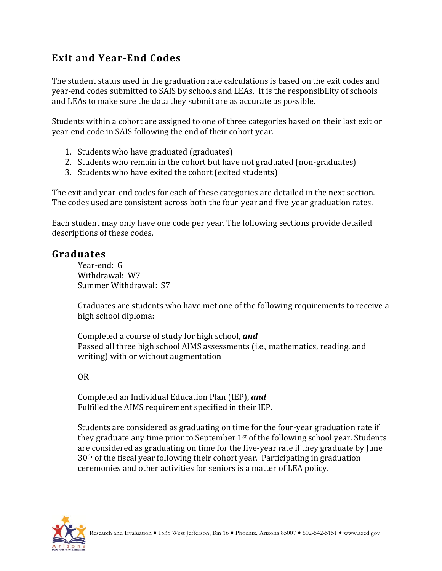## **Exit and Year-End Codes**

The student status used in the graduation rate calculations is based on the exit codes and year-end codes submitted to SAIS by schools and LEAs. It is the responsibility of schools and LEAs to make sure the data they submit are as accurate as possible.

Students within a cohort are assigned to one of three categories based on their last exit or year-end code in SAIS following the end of their cohort year.

- 1. Students who have graduated (graduates)
- 2. Students who remain in the cohort but have not graduated (non-graduates)
- 3. Students who have exited the cohort (exited students)

The exit and year-end codes for each of these categories are detailed in the next section. The codes used are consistent across both the four-year and five-year graduation rates.

Each student may only have one code per year. The following sections provide detailed descriptions of these codes.

### **Graduates**

Year-end: G Withdrawal: W7 Summer Withdrawal: S7

Graduates are students who have met one of the following requirements to receive a high school diploma:

Completed a course of study for high school, *and* Passed all three high school AIMS assessments (i.e., mathematics, reading, and writing) with or without augmentation

OR

Completed an Individual Education Plan (IEP), *and* Fulfilled the AIMS requirement specified in their IEP.

Students are considered as graduating on time for the four-year graduation rate if they graduate any time prior to September  $1<sup>st</sup>$  of the following school year. Students are considered as graduating on time for the five-year rate if they graduate by June 30th of the fiscal year following their cohort year. Participating in graduation ceremonies and other activities for seniors is a matter of LEA policy.

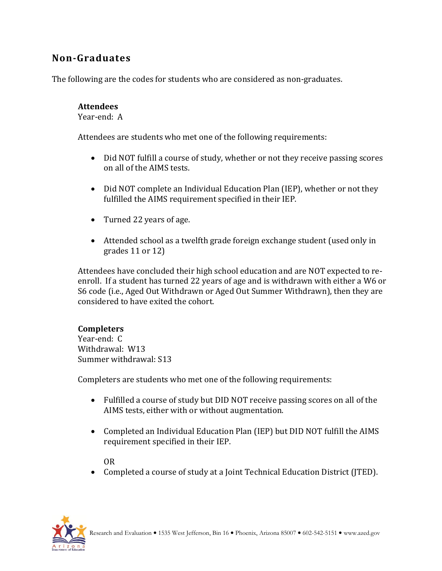## **Non-Graduates**

The following are the codes for students who are considered as non-graduates.

### **Attendees**

Year-end: A

Attendees are students who met one of the following requirements:

- Did NOT fulfill a course of study, whether or not they receive passing scores on all of the AIMS tests.
- Did NOT complete an Individual Education Plan (IEP), whether or not they fulfilled the AIMS requirement specified in their IEP.
- Turned 22 years of age.
- Attended school as a twelfth grade foreign exchange student (used only in grades 11 or 12)

Attendees have concluded their high school education and are NOT expected to reenroll. If a student has turned 22 years of age and is withdrawn with either a W6 or S6 code (i.e., Aged Out Withdrawn or Aged Out Summer Withdrawn), then they are considered to have exited the cohort.

### **Completers**

Year-end: C Withdrawal: W13 Summer withdrawal: S13

Completers are students who met one of the following requirements:

- Fulfilled a course of study but DID NOT receive passing scores on all of the AIMS tests, either with or without augmentation.
- Completed an Individual Education Plan (IEP) but DID NOT fulfill the AIMS requirement specified in their IEP.

OR

Completed a course of study at a Joint Technical Education District (JTED).

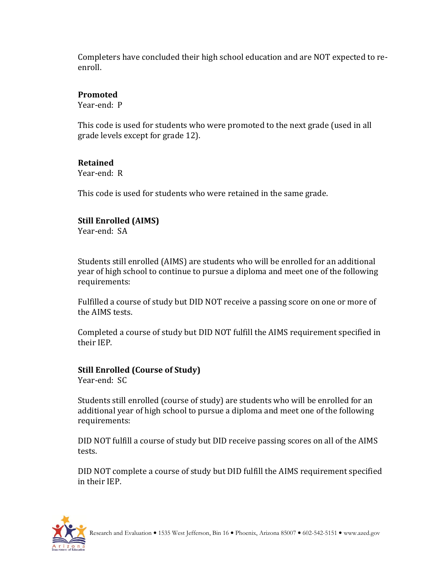Completers have concluded their high school education and are NOT expected to reenroll.

### **Promoted**

Year-end: P

This code is used for students who were promoted to the next grade (used in all grade levels except for grade 12).

### **Retained**

Year-end: R

This code is used for students who were retained in the same grade.

### **Still Enrolled (AIMS)**

Year-end: SA

Students still enrolled (AIMS) are students who will be enrolled for an additional year of high school to continue to pursue a diploma and meet one of the following requirements:

Fulfilled a course of study but DID NOT receive a passing score on one or more of the AIMS tests.

Completed a course of study but DID NOT fulfill the AIMS requirement specified in their IEP.

#### **Still Enrolled (Course of Study)** Year-end: SC

Students still enrolled (course of study) are students who will be enrolled for an additional year of high school to pursue a diploma and meet one of the following requirements:

DID NOT fulfill a course of study but DID receive passing scores on all of the AIMS tests.

DID NOT complete a course of study but DID fulfill the AIMS requirement specified in their IEP.

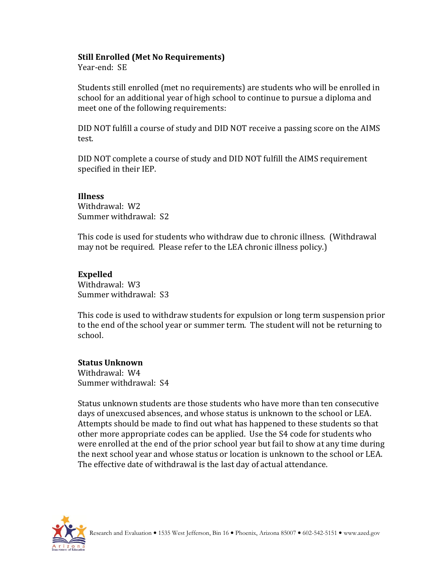#### **Still Enrolled (Met No Requirements)**

Year-end: SE

Students still enrolled (met no requirements) are students who will be enrolled in school for an additional year of high school to continue to pursue a diploma and meet one of the following requirements:

DID NOT fulfill a course of study and DID NOT receive a passing score on the AIMS test.

DID NOT complete a course of study and DID NOT fulfill the AIMS requirement specified in their IEP.

#### **Illness**

Withdrawal: W2 Summer withdrawal: S2

This code is used for students who withdraw due to chronic illness. (Withdrawal may not be required. Please refer to the LEA chronic illness policy.)

#### **Expelled**

Withdrawal: W3 Summer withdrawal: S3

This code is used to withdraw students for expulsion or long term suspension prior to the end of the school year or summer term. The student will not be returning to school.

### **Status Unknown**

Withdrawal: W4 Summer withdrawal: S4

Status unknown students are those students who have more than ten consecutive days of unexcused absences, and whose status is unknown to the school or LEA. Attempts should be made to find out what has happened to these students so that other more appropriate codes can be applied. Use the S4 code for students who were enrolled at the end of the prior school year but fail to show at any time during the next school year and whose status or location is unknown to the school or LEA. The effective date of withdrawal is the last day of actual attendance.

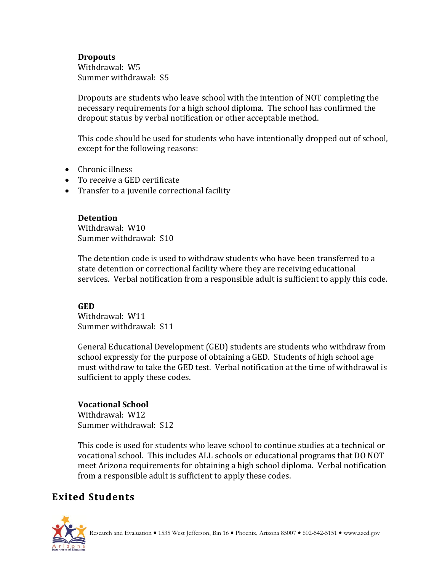#### **Dropouts**

Withdrawal: W5 Summer withdrawal: S5

Dropouts are students who leave school with the intention of NOT completing the necessary requirements for a high school diploma. The school has confirmed the dropout status by verbal notification or other acceptable method.

This code should be used for students who have intentionally dropped out of school, except for the following reasons:

- Chronic illness
- To receive a GED certificate
- Transfer to a juvenile correctional facility

**Detention** Withdrawal: W10 Summer withdrawal: S10

The detention code is used to withdraw students who have been transferred to a state detention or correctional facility where they are receiving educational services. Verbal notification from a responsible adult is sufficient to apply this code.

#### **GED**

Withdrawal: W11 Summer withdrawal: S11

General Educational Development (GED) students are students who withdraw from school expressly for the purpose of obtaining a GED. Students of high school age must withdraw to take the GED test. Verbal notification at the time of withdrawal is sufficient to apply these codes.

### **Vocational School**

Withdrawal: W12 Summer withdrawal: S12

This code is used for students who leave school to continue studies at a technical or vocational school. This includes ALL schools or educational programs that DO NOT meet Arizona requirements for obtaining a high school diploma. Verbal notification from a responsible adult is sufficient to apply these codes.

# **Exited Students**

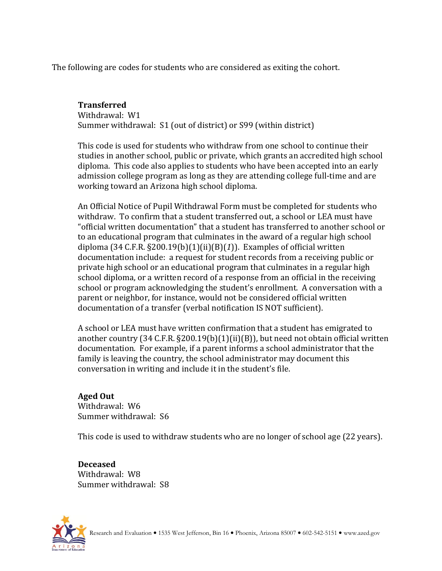The following are codes for students who are considered as exiting the cohort.

#### **Transferred**

Withdrawal: W1 Summer withdrawal: S1 (out of district) or S99 (within district)

This code is used for students who withdraw from one school to continue their studies in another school, public or private, which grants an accredited high school diploma. This code also applies to students who have been accepted into an early admission college program as long as they are attending college full-time and are working toward an Arizona high school diploma.

An Official Notice of Pupil Withdrawal Form must be completed for students who withdraw. To confirm that a student transferred out, a school or LEA must have "official written documentation" that a student has transferred to another school or to an educational program that culminates in the award of a regular high school diploma (34 C.F.R. §200.19(b)(1)(ii)(B)(*1*)). Examples of official written documentation include: a request for student records from a receiving public or private high school or an educational program that culminates in a regular high school diploma, or a written record of a response from an official in the receiving school or program acknowledging the student's enrollment. A conversation with a parent or neighbor, for instance, would not be considered official written documentation of a transfer (verbal notification IS NOT sufficient).

A school or LEA must have written confirmation that a student has emigrated to another country (34 C.F.R. §200.19(b)(1)(ii)(B)), but need not obtain official written documentation. For example, if a parent informs a school administrator that the family is leaving the country, the school administrator may document this conversation in writing and include it in the student's file.

#### **Aged Out** Withdrawal: W6 Summer withdrawal: S6

This code is used to withdraw students who are no longer of school age (22 years).

**Deceased** Withdrawal: W8 Summer withdrawal: S8

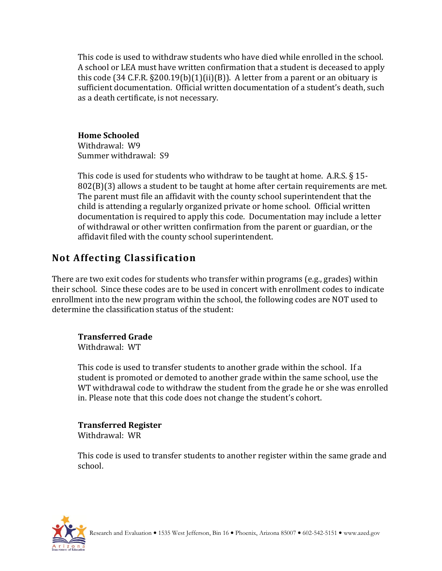This code is used to withdraw students who have died while enrolled in the school. A school or LEA must have written confirmation that a student is deceased to apply this code (34 C.F.R.  $\S 200.19(b)(1)(ii)(B)$ ). A letter from a parent or an obituary is sufficient documentation. Official written documentation of a student's death, such as a death certificate, is not necessary.

### **Home Schooled**

Withdrawal: W9 Summer withdrawal: S9

This code is used for students who withdraw to be taught at home. A.R.S. § 15- 802(B)(3) allows a student to be taught at home after certain requirements are met. The parent must file an affidavit with the county school superintendent that the child is attending a regularly organized private or home school. Official written documentation is required to apply this code. Documentation may include a letter of withdrawal or other written confirmation from the parent or guardian, or the affidavit filed with the county school superintendent.

## **Not Affecting Classification**

There are two exit codes for students who transfer within programs (e.g., grades) within their school. Since these codes are to be used in concert with enrollment codes to indicate enrollment into the new program within the school, the following codes are NOT used to determine the classification status of the student:

## **Transferred Grade**

Withdrawal: WT

This code is used to transfer students to another grade within the school. If a student is promoted or demoted to another grade within the same school, use the WT withdrawal code to withdraw the student from the grade he or she was enrolled in. Please note that this code does not change the student's cohort.

### **Transferred Register**

Withdrawal: WR

This code is used to transfer students to another register within the same grade and school.